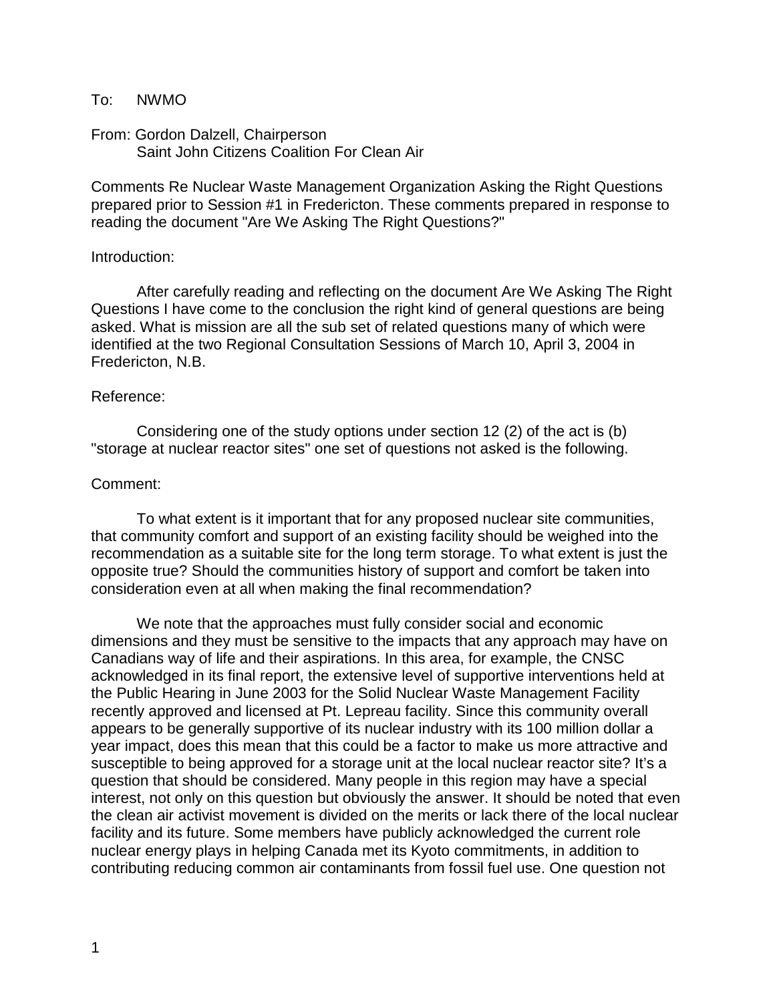### To: NWMO

### From: Gordon Dalzell, Chairperson Saint John Citizens Coalition For Clean Air

Comments Re Nuclear Waste Management Organization Asking the Right Questions prepared prior to Session #1 in Fredericton. These comments prepared in response to reading the document "Are We Asking The Right Questions?"

#### Introduction:

After carefully reading and reflecting on the document Are We Asking The Right Questions I have come to the conclusion the right kind of general questions are being asked. What is mission are all the sub set of related questions many of which were identified at the two Regional Consultation Sessions of March 10, April 3, 2004 in Fredericton, N.B.

#### Reference:

Considering one of the study options under section 12 (2) of the act is (b) "storage at nuclear reactor sites" one set of questions not asked is the following.

#### Comment:

To what extent is it important that for any proposed nuclear site communities, that community comfort and support of an existing facility should be weighed into the recommendation as a suitable site for the long term storage. To what extent is just the opposite true? Should the communities history of support and comfort be taken into consideration even at all when making the final recommendation?

We note that the approaches must fully consider social and economic dimensions and they must be sensitive to the impacts that any approach may have on Canadians way of life and their aspirations. In this area, for example, the CNSC acknowledged in its final report, the extensive level of supportive interventions held at the Public Hearing in June 2003 for the Solid Nuclear Waste Management Facility recently approved and licensed at Pt. Lepreau facility. Since this community overall appears to be generally supportive of its nuclear industry with its 100 million dollar a year impact, does this mean that this could be a factor to make us more attractive and susceptible to being approved for a storage unit at the local nuclear reactor site? It's a question that should be considered. Many people in this region may have a special interest, not only on this question but obviously the answer. It should be noted that even the clean air activist movement is divided on the merits or lack there of the local nuclear facility and its future. Some members have publicly acknowledged the current role nuclear energy plays in helping Canada met its Kyoto commitments, in addition to contributing reducing common air contaminants from fossil fuel use. One question not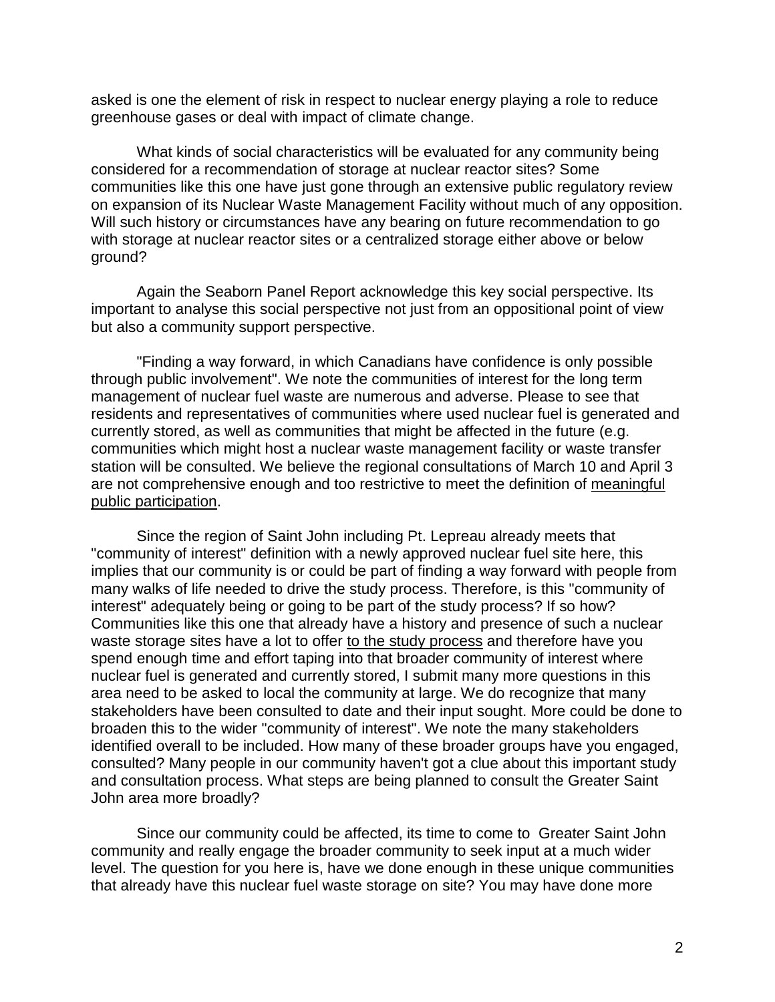asked is one the element of risk in respect to nuclear energy playing a role to reduce greenhouse gases or deal with impact of climate change.

What kinds of social characteristics will be evaluated for any community being considered for a recommendation of storage at nuclear reactor sites? Some communities like this one have just gone through an extensive public regulatory review on expansion of its Nuclear Waste Management Facility without much of any opposition. Will such history or circumstances have any bearing on future recommendation to go with storage at nuclear reactor sites or a centralized storage either above or below ground?

Again the Seaborn Panel Report acknowledge this key social perspective. Its important to analyse this social perspective not just from an oppositional point of view but also a community support perspective.

"Finding a way forward, in which Canadians have confidence is only possible through public involvement". We note the communities of interest for the long term management of nuclear fuel waste are numerous and adverse. Please to see that residents and representatives of communities where used nuclear fuel is generated and currently stored, as well as communities that might be affected in the future (e.g. communities which might host a nuclear waste management facility or waste transfer station will be consulted. We believe the regional consultations of March 10 and April 3 are not comprehensive enough and too restrictive to meet the definition of meaningful public participation.

Since the region of Saint John including Pt. Lepreau already meets that "community of interest" definition with a newly approved nuclear fuel site here, this implies that our community is or could be part of finding a way forward with people from many walks of life needed to drive the study process. Therefore, is this "community of interest" adequately being or going to be part of the study process? If so how? Communities like this one that already have a history and presence of such a nuclear waste storage sites have a lot to offer to the study process and therefore have you spend enough time and effort taping into that broader community of interest where nuclear fuel is generated and currently stored, I submit many more questions in this area need to be asked to local the community at large. We do recognize that many stakeholders have been consulted to date and their input sought. More could be done to broaden this to the wider "community of interest". We note the many stakeholders identified overall to be included. How many of these broader groups have you engaged, consulted? Many people in our community haven't got a clue about this important study and consultation process. What steps are being planned to consult the Greater Saint John area more broadly?

Since our community could be affected, its time to come to Greater Saint John community and really engage the broader community to seek input at a much wider level. The question for you here is, have we done enough in these unique communities that already have this nuclear fuel waste storage on site? You may have done more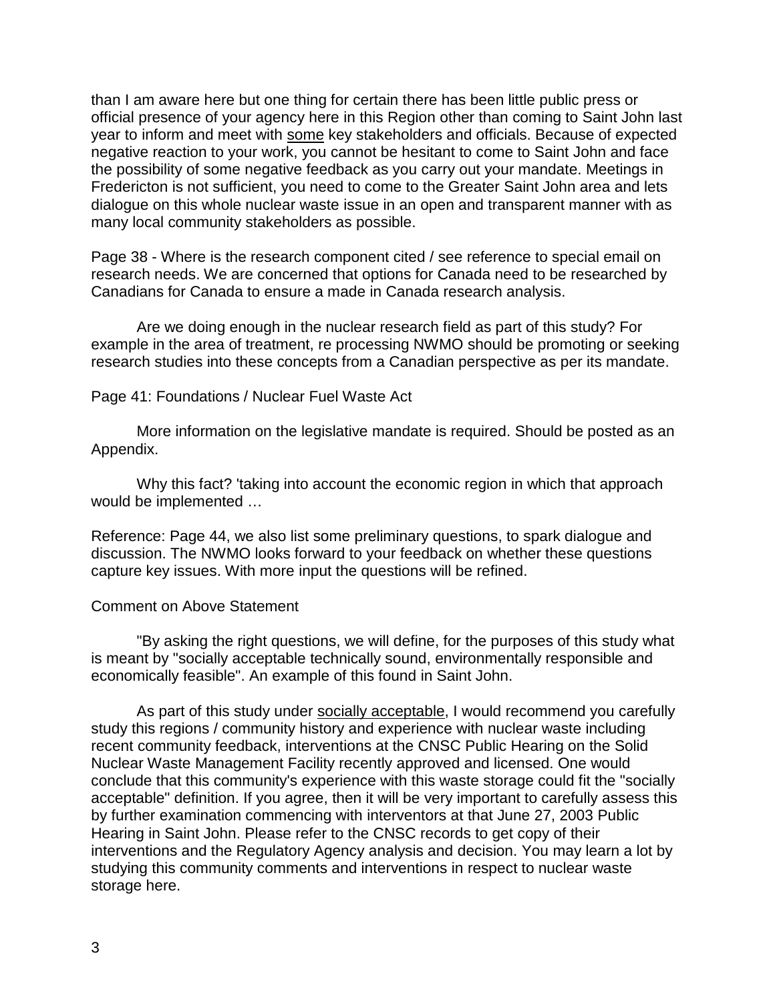than I am aware here but one thing for certain there has been little public press or official presence of your agency here in this Region other than coming to Saint John last year to inform and meet with some key stakeholders and officials. Because of expected negative reaction to your work, you cannot be hesitant to come to Saint John and face the possibility of some negative feedback as you carry out your mandate. Meetings in Fredericton is not sufficient, you need to come to the Greater Saint John area and lets dialogue on this whole nuclear waste issue in an open and transparent manner with as many local community stakeholders as possible.

Page 38 - Where is the research component cited / see reference to special email on research needs. We are concerned that options for Canada need to be researched by Canadians for Canada to ensure a made in Canada research analysis.

Are we doing enough in the nuclear research field as part of this study? For example in the area of treatment, re processing NWMO should be promoting or seeking research studies into these concepts from a Canadian perspective as per its mandate.

# Page 41: Foundations / Nuclear Fuel Waste Act

More information on the legislative mandate is required. Should be posted as an Appendix.

Why this fact? 'taking into account the economic region in which that approach would be implemented …

Reference: Page 44, we also list some preliminary questions, to spark dialogue and discussion. The NWMO looks forward to your feedback on whether these questions capture key issues. With more input the questions will be refined.

### Comment on Above Statement

"By asking the right questions, we will define, for the purposes of this study what is meant by "socially acceptable technically sound, environmentally responsible and economically feasible". An example of this found in Saint John.

As part of this study under socially acceptable, I would recommend you carefully study this regions / community history and experience with nuclear waste including recent community feedback, interventions at the CNSC Public Hearing on the Solid Nuclear Waste Management Facility recently approved and licensed. One would conclude that this community's experience with this waste storage could fit the "socially acceptable" definition. If you agree, then it will be very important to carefully assess this by further examination commencing with interventors at that June 27, 2003 Public Hearing in Saint John. Please refer to the CNSC records to get copy of their interventions and the Regulatory Agency analysis and decision. You may learn a lot by studying this community comments and interventions in respect to nuclear waste storage here.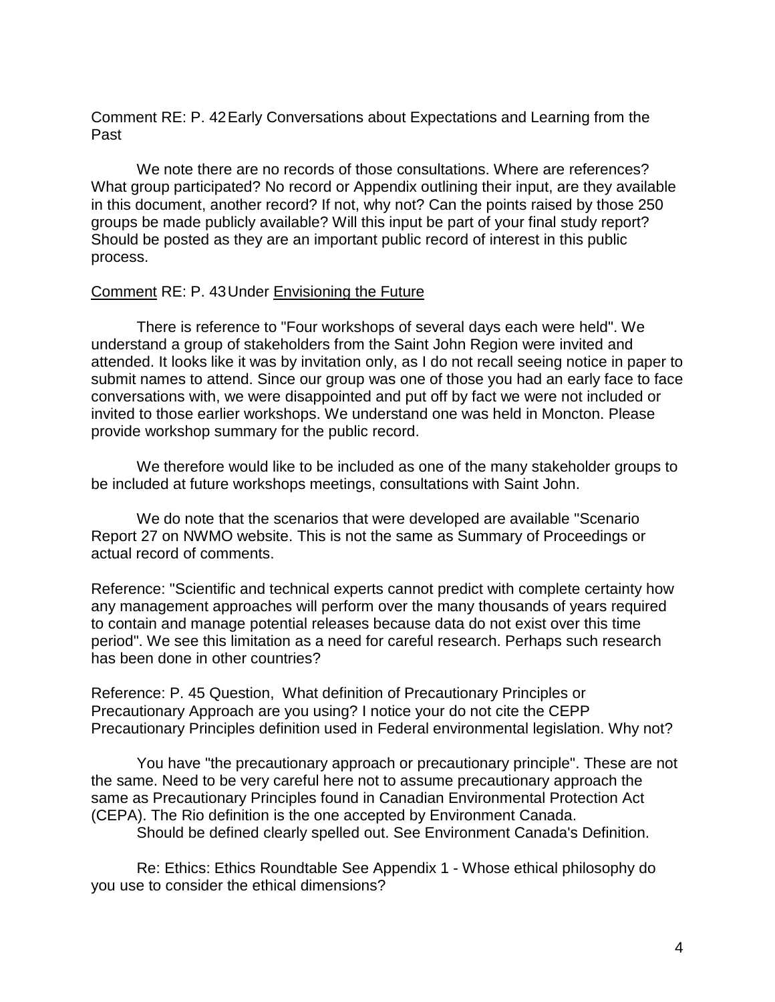Comment RE: P. 42Early Conversations about Expectations and Learning from the Past

We note there are no records of those consultations. Where are references? What group participated? No record or Appendix outlining their input, are they available in this document, another record? If not, why not? Can the points raised by those 250 groups be made publicly available? Will this input be part of your final study report? Should be posted as they are an important public record of interest in this public process.

# Comment RE: P. 43Under Envisioning the Future

There is reference to "Four workshops of several days each were held". We understand a group of stakeholders from the Saint John Region were invited and attended. It looks like it was by invitation only, as I do not recall seeing notice in paper to submit names to attend. Since our group was one of those you had an early face to face conversations with, we were disappointed and put off by fact we were not included or invited to those earlier workshops. We understand one was held in Moncton. Please provide workshop summary for the public record.

We therefore would like to be included as one of the many stakeholder groups to be included at future workshops meetings, consultations with Saint John.

We do note that the scenarios that were developed are available "Scenario Report 27 on NWMO website. This is not the same as Summary of Proceedings or actual record of comments.

Reference: "Scientific and technical experts cannot predict with complete certainty how any management approaches will perform over the many thousands of years required to contain and manage potential releases because data do not exist over this time period". We see this limitation as a need for careful research. Perhaps such research has been done in other countries?

Reference: P. 45 Question, What definition of Precautionary Principles or Precautionary Approach are you using? I notice your do not cite the CEPP Precautionary Principles definition used in Federal environmental legislation. Why not?

You have "the precautionary approach or precautionary principle". These are not the same. Need to be very careful here not to assume precautionary approach the same as Precautionary Principles found in Canadian Environmental Protection Act (CEPA). The Rio definition is the one accepted by Environment Canada.

Should be defined clearly spelled out. See Environment Canada's Definition.

Re: Ethics: Ethics Roundtable See Appendix 1 - Whose ethical philosophy do you use to consider the ethical dimensions?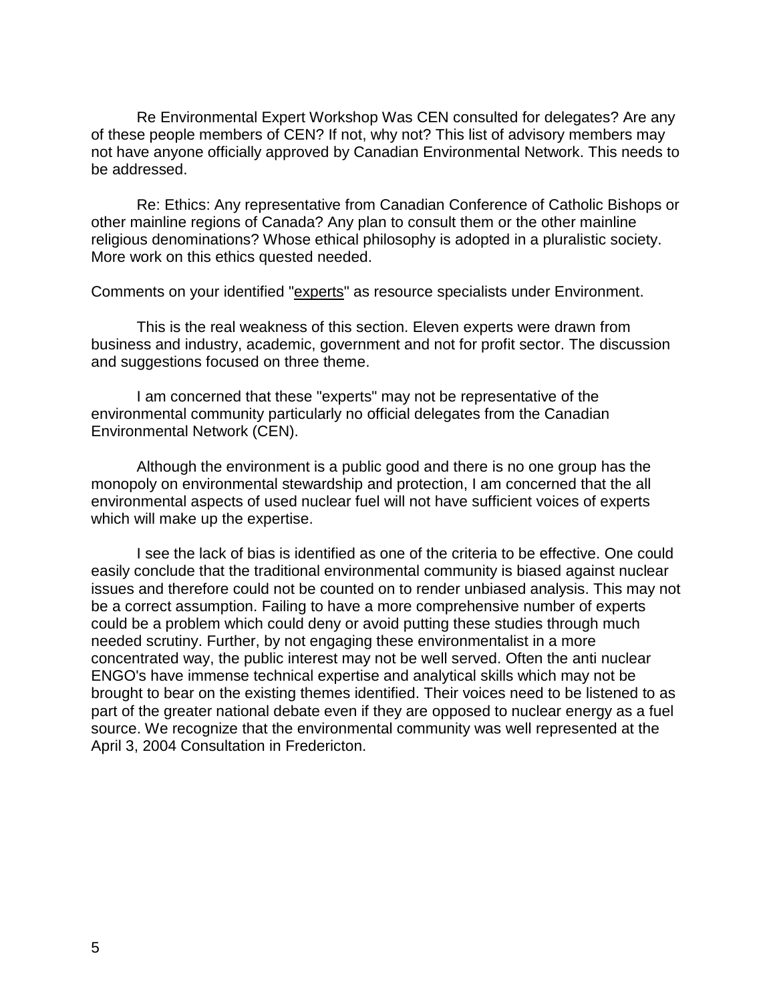Re Environmental Expert Workshop Was CEN consulted for delegates? Are any of these people members of CEN? If not, why not? This list of advisory members may not have anyone officially approved by Canadian Environmental Network. This needs to be addressed.

Re: Ethics: Any representative from Canadian Conference of Catholic Bishops or other mainline regions of Canada? Any plan to consult them or the other mainline religious denominations? Whose ethical philosophy is adopted in a pluralistic society. More work on this ethics quested needed.

Comments on your identified "experts" as resource specialists under Environment.

This is the real weakness of this section. Eleven experts were drawn from business and industry, academic, government and not for profit sector. The discussion and suggestions focused on three theme.

I am concerned that these "experts" may not be representative of the environmental community particularly no official delegates from the Canadian Environmental Network (CEN).

Although the environment is a public good and there is no one group has the monopoly on environmental stewardship and protection, I am concerned that the all environmental aspects of used nuclear fuel will not have sufficient voices of experts which will make up the expertise.

I see the lack of bias is identified as one of the criteria to be effective. One could easily conclude that the traditional environmental community is biased against nuclear issues and therefore could not be counted on to render unbiased analysis. This may not be a correct assumption. Failing to have a more comprehensive number of experts could be a problem which could deny or avoid putting these studies through much needed scrutiny. Further, by not engaging these environmentalist in a more concentrated way, the public interest may not be well served. Often the anti nuclear ENGO's have immense technical expertise and analytical skills which may not be brought to bear on the existing themes identified. Their voices need to be listened to as part of the greater national debate even if they are opposed to nuclear energy as a fuel source. We recognize that the environmental community was well represented at the April 3, 2004 Consultation in Fredericton.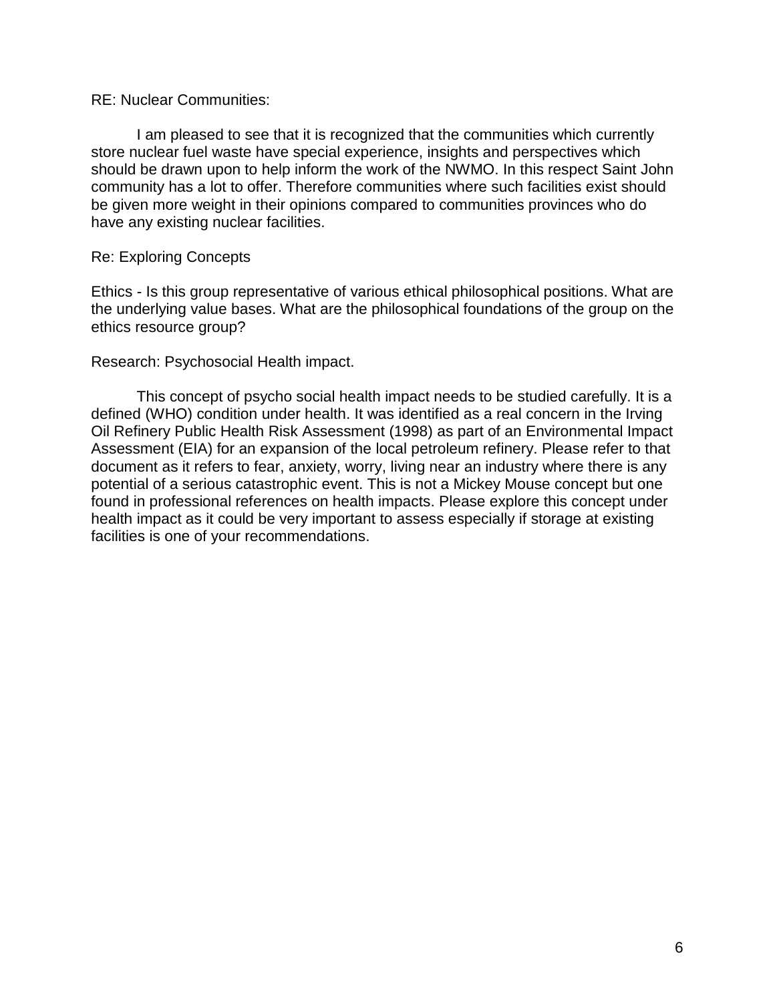### RE: Nuclear Communities:

I am pleased to see that it is recognized that the communities which currently store nuclear fuel waste have special experience, insights and perspectives which should be drawn upon to help inform the work of the NWMO. In this respect Saint John community has a lot to offer. Therefore communities where such facilities exist should be given more weight in their opinions compared to communities provinces who do have any existing nuclear facilities.

# Re: Exploring Concepts

Ethics - Is this group representative of various ethical philosophical positions. What are the underlying value bases. What are the philosophical foundations of the group on the ethics resource group?

### Research: Psychosocial Health impact.

This concept of psycho social health impact needs to be studied carefully. It is a defined (WHO) condition under health. It was identified as a real concern in the Irving Oil Refinery Public Health Risk Assessment (1998) as part of an Environmental Impact Assessment (EIA) for an expansion of the local petroleum refinery. Please refer to that document as it refers to fear, anxiety, worry, living near an industry where there is any potential of a serious catastrophic event. This is not a Mickey Mouse concept but one found in professional references on health impacts. Please explore this concept under health impact as it could be very important to assess especially if storage at existing facilities is one of your recommendations.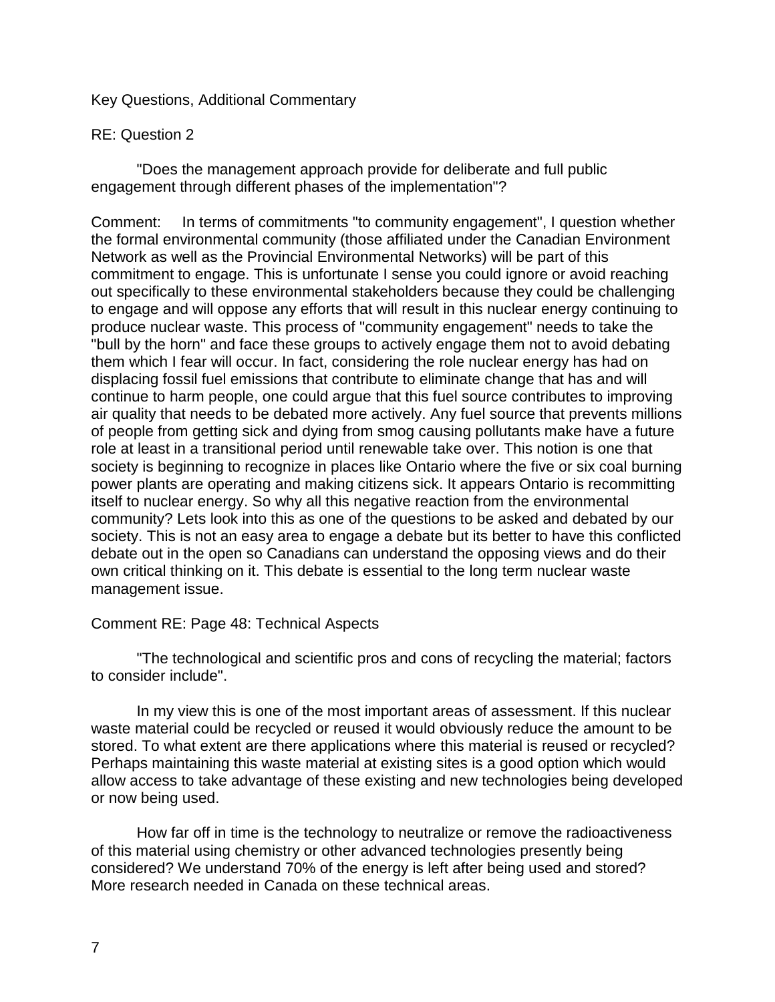# Key Questions, Additional Commentary

# RE: Question 2

"Does the management approach provide for deliberate and full public engagement through different phases of the implementation"?

Comment: In terms of commitments "to community engagement", I question whether the formal environmental community (those affiliated under the Canadian Environment Network as well as the Provincial Environmental Networks) will be part of this commitment to engage. This is unfortunate I sense you could ignore or avoid reaching out specifically to these environmental stakeholders because they could be challenging to engage and will oppose any efforts that will result in this nuclear energy continuing to produce nuclear waste. This process of "community engagement" needs to take the "bull by the horn" and face these groups to actively engage them not to avoid debating them which I fear will occur. In fact, considering the role nuclear energy has had on displacing fossil fuel emissions that contribute to eliminate change that has and will continue to harm people, one could argue that this fuel source contributes to improving air quality that needs to be debated more actively. Any fuel source that prevents millions of people from getting sick and dying from smog causing pollutants make have a future role at least in a transitional period until renewable take over. This notion is one that society is beginning to recognize in places like Ontario where the five or six coal burning power plants are operating and making citizens sick. It appears Ontario is recommitting itself to nuclear energy. So why all this negative reaction from the environmental community? Lets look into this as one of the questions to be asked and debated by our society. This is not an easy area to engage a debate but its better to have this conflicted debate out in the open so Canadians can understand the opposing views and do their own critical thinking on it. This debate is essential to the long term nuclear waste management issue.

### Comment RE: Page 48: Technical Aspects

"The technological and scientific pros and cons of recycling the material; factors to consider include".

In my view this is one of the most important areas of assessment. If this nuclear waste material could be recycled or reused it would obviously reduce the amount to be stored. To what extent are there applications where this material is reused or recycled? Perhaps maintaining this waste material at existing sites is a good option which would allow access to take advantage of these existing and new technologies being developed or now being used.

How far off in time is the technology to neutralize or remove the radioactiveness of this material using chemistry or other advanced technologies presently being considered? We understand 70% of the energy is left after being used and stored? More research needed in Canada on these technical areas.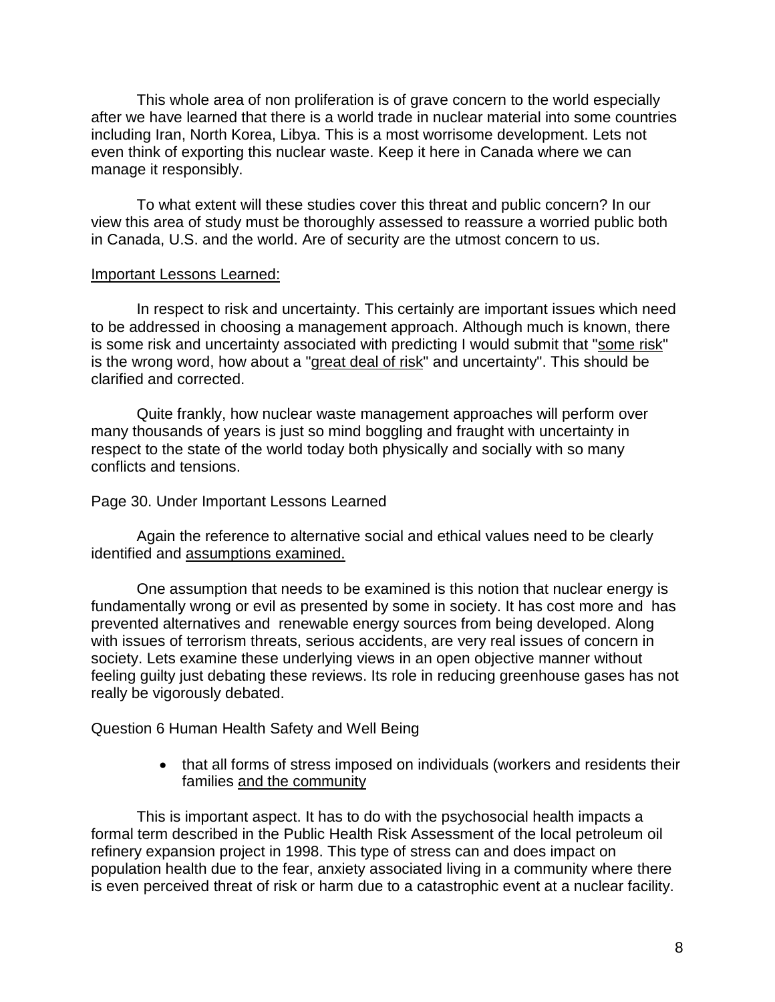This whole area of non proliferation is of grave concern to the world especially after we have learned that there is a world trade in nuclear material into some countries including Iran, North Korea, Libya. This is a most worrisome development. Lets not even think of exporting this nuclear waste. Keep it here in Canada where we can manage it responsibly.

To what extent will these studies cover this threat and public concern? In our view this area of study must be thoroughly assessed to reassure a worried public both in Canada, U.S. and the world. Are of security are the utmost concern to us.

# Important Lessons Learned:

In respect to risk and uncertainty. This certainly are important issues which need to be addressed in choosing a management approach. Although much is known, there is some risk and uncertainty associated with predicting I would submit that "some risk" is the wrong word, how about a "great deal of risk" and uncertainty". This should be clarified and corrected.

Quite frankly, how nuclear waste management approaches will perform over many thousands of years is just so mind boggling and fraught with uncertainty in respect to the state of the world today both physically and socially with so many conflicts and tensions.

### Page 30. Under Important Lessons Learned

Again the reference to alternative social and ethical values need to be clearly identified and assumptions examined.

One assumption that needs to be examined is this notion that nuclear energy is fundamentally wrong or evil as presented by some in society. It has cost more and has prevented alternatives and renewable energy sources from being developed. Along with issues of terrorism threats, serious accidents, are very real issues of concern in society. Lets examine these underlying views in an open objective manner without feeling guilty just debating these reviews. Its role in reducing greenhouse gases has not really be vigorously debated.

Question 6 Human Health Safety and Well Being

• that all forms of stress imposed on individuals (workers and residents their families and the community

This is important aspect. It has to do with the psychosocial health impacts a formal term described in the Public Health Risk Assessment of the local petroleum oil refinery expansion project in 1998. This type of stress can and does impact on population health due to the fear, anxiety associated living in a community where there is even perceived threat of risk or harm due to a catastrophic event at a nuclear facility.